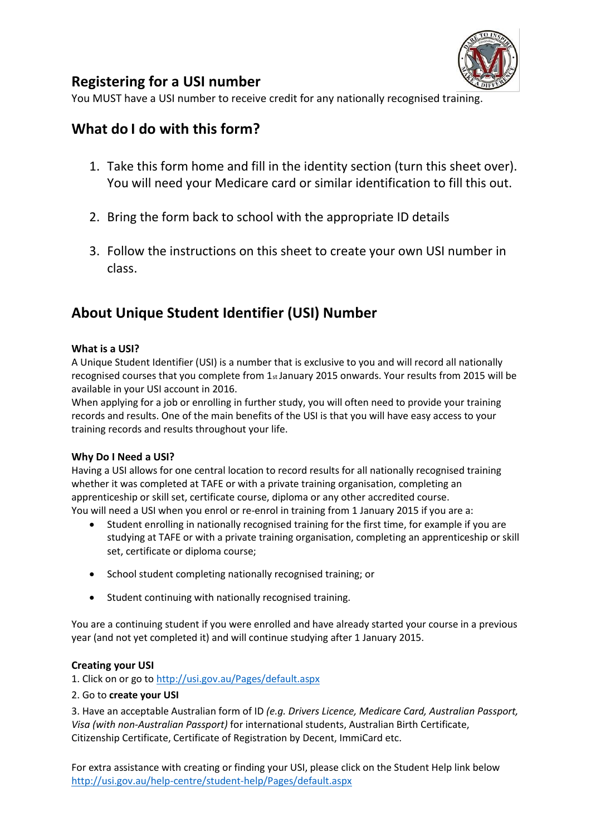

### **Registering for a USI number**

You MUST have a USI number to receive credit for any nationally recognised training.

## **What do I do with this form?**

- 1. Take this form home and fill in the identity section (turn this sheet over). You will need your Medicare card or similar identification to fill this out.
- 2. Bring the form back to school with the appropriate ID details
- 3. Follow the instructions on this sheet to create your own USI number in class.

## **About Unique Student Identifier (USI) Number**

#### **What is a USI?**

A Unique Student Identifier (USI) is a number that is exclusive to you and will record all nationally recognised courses that you complete from 1st January 2015 onwards. Your results from 2015 will be available in your USI account in 2016.

When applying for a job or enrolling in further study, you will often need to provide your training records and results. One of the main benefits of the USI is that you will have easy access to your training records and results throughout your life.

#### **Why Do I Need a USI?**

Having a USI allows for one central location to record results for all nationally recognised training whether it was completed at TAFE or with a private training organisation, completing an apprenticeship or skill set, certificate course, diploma or any other accredited course. You will need a USI when you enrol or re-enrol in training from 1 January 2015 if you are a:

- Student enrolling in nationally recognised training for the first time, for example if you are studying at TAFE or with a private training organisation, completing an apprenticeship or skill set, certificate or diploma course;
- School student completing nationally recognised training; or
- Student continuing with nationally recognised training.

You are a continuing student if you were enrolled and have already started your course in a previous year (and not yet completed it) and will continue studying after 1 January 2015.

#### **Creating your USI**

1. Click on or go t[o http://usi.gov.au/Pages/default.aspx](http://usi.gov.au/Pages/default.aspx)

2. Go to **create your USI** 

3. Have an acceptable Australian form of ID *(e.g. Drivers Licence, Medicare Card, Australian Passport, Visa (with non-Australian Passport)* for international students, Australian Birth Certificate, Citizenship Certificate, Certificate of Registration by Decent, ImmiCard etc.

For extra assistance with creating or finding your USI, please click on the Student Help link below <http://usi.gov.au/help-centre/student-help/Pages/default.aspx>